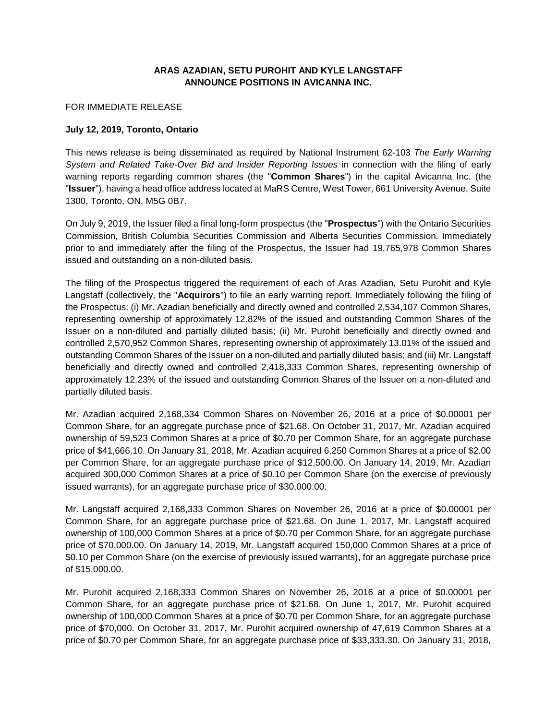## **ARAS AZADIAN, SETU PUROHIT AND KYLE LANGSTAFF ANNOUNCE POSITIONS IN AVICANNA INC.**

## FOR IMMEDIATE RELEASE

## **July 12, 2019, Toronto, Ontario**

This news release is being disseminated as required by National Instrument 62-103 *The Early Warning System and Related Take-Over Bid and Insider Reporting Issues* in connection with the filing of early warning reports regarding common shares (the "**Common Shares**") in the capital Avicanna Inc. (the "**Issuer**"), having a head office address located at MaRS Centre, West Tower, 661 University Avenue, Suite 1300, Toronto, ON, M5G 0B7.

On July 9, 2019, the Issuer filed a final long‐form prospectus (the "**Prospectus**") with the Ontario Securities Commission, British Columbia Securities Commission and Alberta Securities Commission. Immediately prior to and immediately after the filing of the Prospectus, the Issuer had 19,765,978 Common Shares issued and outstanding on a non‐diluted basis.

The filing of the Prospectus triggered the requirement of each of Aras Azadian, Setu Purohit and Kyle Langstaff (collectively, the "**Acquirors**") to file an early warning report. Immediately following the filing of the Prospectus: (i) Mr. Azadian beneficially and directly owned and controlled 2,534,107 Common Shares, representing ownership of approximately 12.82% of the issued and outstanding Common Shares of the Issuer on a non-diluted and partially diluted basis; (ii) Mr. Purohit beneficially and directly owned and controlled 2,570,952 Common Shares, representing ownership of approximately 13.01% of the issued and outstanding Common Shares of the Issuer on a non-diluted and partially diluted basis; and (iii) Mr. Langstaff beneficially and directly owned and controlled 2,418,333 Common Shares, representing ownership of approximately 12.23% of the issued and outstanding Common Shares of the Issuer on a non-diluted and partially diluted basis.

Mr. Azadian acquired 2,168,334 Common Shares on November 26, 2016 at a price of \$0.00001 per Common Share, for an aggregate purchase price of \$21.68. On October 31, 2017, Mr. Azadian acquired ownership of 59,523 Common Shares at a price of \$0.70 per Common Share, for an aggregate purchase price of \$41,666.10. On January 31, 2018, Mr. Azadian acquired 6,250 Common Shares at a price of \$2.00 per Common Share, for an aggregate purchase price of \$12,500.00. On January 14, 2019, Mr. Azadian acquired 300,000 Common Shares at a price of \$0.10 per Common Share (on the exercise of previously issued warrants), for an aggregate purchase price of \$30,000.00.

Mr. Langstaff acquired 2,168,333 Common Shares on November 26, 2016 at a price of \$0.00001 per Common Share, for an aggregate purchase price of \$21.68. On June 1, 2017, Mr. Langstaff acquired ownership of 100,000 Common Shares at a price of \$0.70 per Common Share, for an aggregate purchase price of \$70,000.00. On January 14, 2019, Mr. Langstaff acquired 150,000 Common Shares at a price of \$0.10 per Common Share (on the exercise of previously issued warrants), for an aggregate purchase price of \$15,000.00.

Mr. Purohit acquired 2,168,333 Common Shares on November 26, 2016 at a price of \$0.00001 per Common Share, for an aggregate purchase price of \$21.68. On June 1, 2017, Mr. Purohit acquired ownership of 100,000 Common Shares at a price of \$0.70 per Common Share, for an aggregate purchase price of \$70,000. On October 31, 2017, Mr. Purohit acquired ownership of 47,619 Common Shares at a price of \$0.70 per Common Share, for an aggregate purchase price of \$33,333.30. On January 31, 2018,